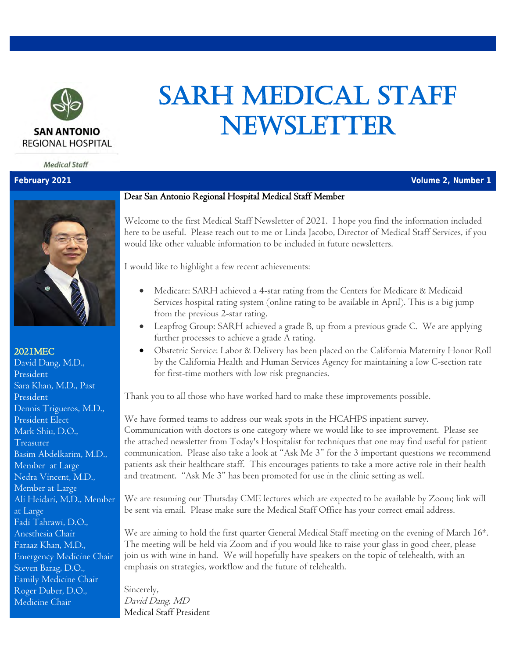

**Medical Staff** 



#### 2021MEC

David Dang, M.D., President Sara Khan, M.D., Past President Dennis Trigueros, M.D., President Elect Mark Shiu, D.O., Treasurer Basim Abdelkarim, M.D., Member at Large Nedra Vincent, M.D., Member at Large Ali Heidari, M.D., Member at Large Fadi Tahrawi, D.O., Anesthesia Chair Faraaz Khan, M.D., Emergency Medicine Chair Steven Barag, D.O., Family Medicine Chair Roger Duber, D.O., Medicine Chair

#### Dear San Antonio Regional Hospital Medical Staff Member

Welcome to the first Medical Staff Newsletter of 2021. I hope you find the information included here to be useful. Please reach out to me or Linda Jacobo, Director of Medical Staff Services, if you would like other valuable information to be included in future newsletters.

SARH MEDICAL STAFF

NEWSLETTER

I would like to highlight a few recent achievements:

- Medicare: SARH achieved a 4-star rating from the Centers for Medicare & Medicaid Services hospital rating system (online rating to be available in April). This is a big jump from the previous 2-star rating.
- Leapfrog Group: SARH achieved a grade B, up from a previous grade C. We are applying further processes to achieve a grade A rating.
- Obstetric Service: Labor & Delivery has been placed on the California Maternity Honor Roll by the California Health and Human Services Agency for maintaining a low C-section rate for first-time mothers with low risk pregnancies.

Thank you to all those who have worked hard to make these improvements possible.

We have formed teams to address our weak spots in the HCAHPS inpatient survey. Communication with doctors is one category where we would like to see improvement. Please see the attached newsletter from Today's Hospitalist for techniques that one may find useful for patient communication. Please also take a look at "Ask Me 3" for the 3 important questions we recommend patients ask their healthcare staff. This encourages patients to take a more active role in their health and treatment. "Ask Me 3" has been promoted for use in the clinic setting as well.

We are resuming our Thursday CME lectures which are expected to be available by Zoom; link will be sent via email. Please make sure the Medical Staff Office has your correct email address.

We are aiming to hold the first quarter General Medical Staff meeting on the evening of March 16<sup>th</sup>. The meeting will be held via Zoom and if you would like to raise your glass in good cheer, please join us with wine in hand. We will hopefully have speakers on the topic of telehealth, with an emphasis on strategies, workflow and the future of telehealth.

Sincerely, David Dang, MD Medical Staff President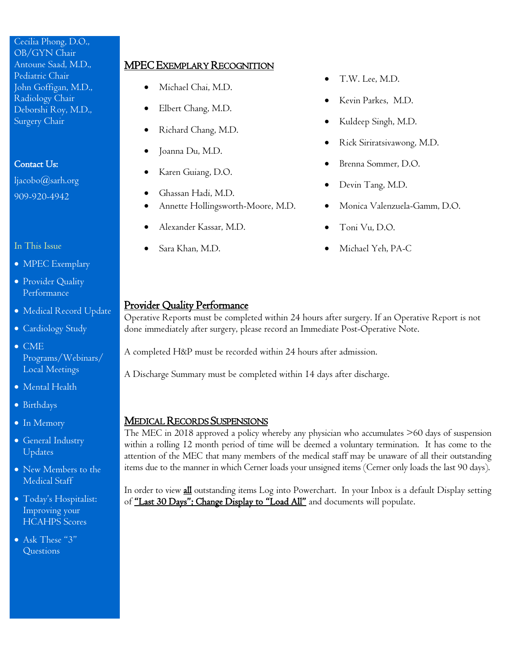# Cecilia Phong, D.O.,

| OB/GYN Chair         |
|----------------------|
| Antoune Saad, M.D.,  |
| Pediatric Chair      |
| John Goffigan, M.D., |
| Radiology Chair      |
| Deborshi Roy, M.D.,  |
| Surgery Chair        |

## Contact Us:

[ljacobo@sarh.org](mailto:ljacobo@sarh.org) 909-920-4942

#### In This Issue

- MPEC Exemplary
- Provider Quality Performance
- Medical Record Update
- Cardiology Study
- CME Programs/Webinars/ Local Meetings
- Mental Health
- Birthdays
- In Memory
- General Industry Updates
- New Members to the Medical Staff
- Today's Hospitalist: Improving your HCAHPS Scores
- Ask These "3" Questions

## MPEC EXEMPLARY RECOGNITION

- Michael Chai, M.D. T.W. Lee, M.D.
- 
- Richard Chang, M.D. Kuldeep Singh, M.D.
- 
- 
- 
- Annette Hollingsworth-Moore, M.D. Monica Valenzuela-Gamm, D.O.
- Alexander Kassar, M.D. Toni Vu, D.O.
- 
- 
- Elbert Chang, M.D. Kevin Parkes, M.D.
	-
- Joanna Du, M.D. Rick Siriratsivawong, M.D.
- Karen Guiang, D.O. Brenna Sommer, D.O.
- Ghassan Hadi, M.D. Devin Tang, M.D.
	-
	-
- Sara Khan, M.D. Michael Yeh, PA-C

## Provider Quality Performance

Operative Reports must be completed within 24 hours after surgery. If an Operative Report is not done immediately after surgery, please record an Immediate Post-Operative Note.

A completed H&P must be recorded within 24 hours after admission.

A Discharge Summary must be completed within 14 days after discharge.

## MEDICAL RECORDS SUSPENSIONS

The MEC in 2018 approved a policy whereby any physician who accumulates >60 days of suspension within a rolling 12 month period of time will be deemed a voluntary termination. It has come to the attention of the MEC that many members of the medical staff may be unaware of all their outstanding items due to the manner in which Cerner loads your unsigned items (Cerner only loads the last 90 days).

In order to view *all* outstanding items Log into Powerchart. In your Inbox is a default Display setting of "Last 30 Days"; Change Display to "Load All" and documents will populate.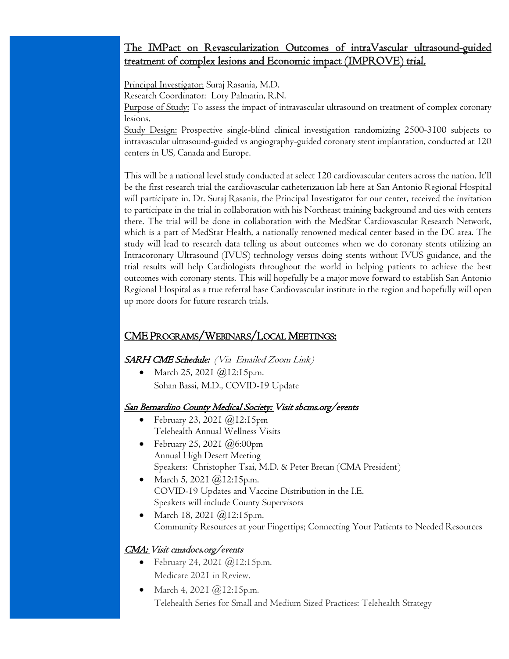## The IMPact on Revascularization Outcomes of intraVascular ultrasound-guided treatment of complex lesions and Economic impact (IMPROVE) trial.

Principal Investigator: Suraj Rasania, M.D.

Research Coordinator: Lory Palmarin, R.N.

Purpose of Study: To assess the impact of intravascular ultrasound on treatment of complex coronary lesions.

Study Design: Prospective single-blind clinical investigation randomizing 2500-3100 subjects to intravascular ultrasound-guided vs angiography-guided coronary stent implantation, conducted at 120 centers in US, Canada and Europe.

This will be a national level study conducted at select 120 cardiovascular centers across the nation. It'll be the first research trial the cardiovascular catheterization lab here at San Antonio Regional Hospital will participate in. Dr. Suraj Rasania, the Principal Investigator for our center, received the invitation to participate in the trial in collaboration with his Northeast training background and ties with centers there. The trial will be done in collaboration with the MedStar Cardiovascular Research Network, which is a part of MedStar Health, a nationally renowned medical center based in the DC area. The study will lead to research data telling us about outcomes when we do coronary stents utilizing an Intracoronary Ultrasound (IVUS) technology versus doing stents without IVUS guidance, and the trial results will help Cardiologists throughout the world in helping patients to achieve the best outcomes with coronary stents. This will hopefully be a major move forward to establish San Antonio Regional Hospital as a true referral base Cardiovascular institute in the region and hopefully will open up more doors for future research trials.

## CME PROGRAMS/WEBINARS/LOCAL MEETINGS:

**SARH CME Schedule:** (Via Emailed Zoom Link)

• March 25, 2021 @12:15p.m. Sohan Bassi, M.D., COVID-19 Update

#### San Bernardino County Medical Society: Visit sbcms.org/events

- February 23, 2021 @12:15pm Telehealth Annual Wellness Visits
- February 25, 2021  $(a)$ 6:00pm Annual High Desert Meeting Speakers: Christopher Tsai, M.D. & Peter Bretan (CMA President)
- March 5, 2021 @12:15p.m. COVID-19 Updates and Vaccine Distribution in the I.E. Speakers will include County Supervisors
- March 18, 2021 *(a)*12:15p.m. Community Resources at your Fingertips; Connecting Your Patients to Needed Resources

## CMA: Visit cmadocs.org/events

- February 24, 2021  $@$  I 2:15 p.m. Medicare 2021 in Review.
- March 4, 2021 @12:15p.m. Telehealth Series for Small and Medium Sized Practices: Telehealth Strategy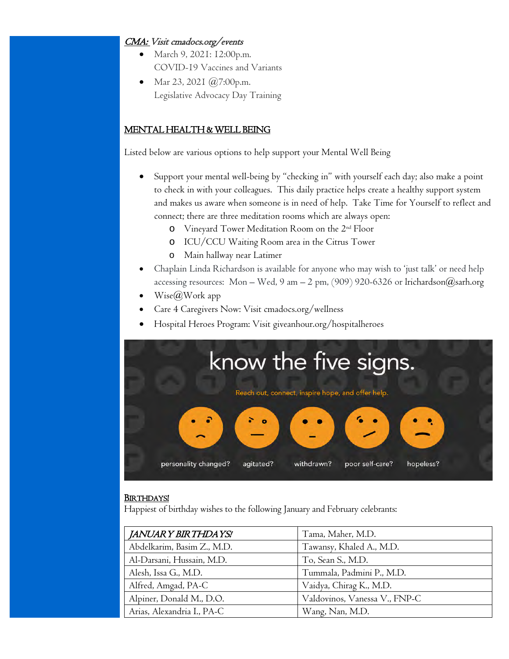## CMA: Visit cmadocs.org/events

- March 9, 2021: 12:00p.m. COVID-19 Vaccines and Variants
- Mar 23, 2021 @7:00p.m. Legislative Advocacy Day Training

## MENTAL HEALTH & WELL BEING

Listed below are various options to help support your Mental Well Being

- Support your mental well-being by "checking in" with yourself each day; also make a point to check in with your colleagues. This daily practice helps create a healthy support system and makes us aware when someone is in need of help. Take Time for Yourself to reflect and connect; there are three meditation rooms which are always open:
	- o Vineyard Tower Meditation Room on the 2nd Floor
	- o ICU/CCU Waiting Room area in the Citrus Tower
	- o Main hallway near Latimer
- Chaplain Linda Richardson is available for anyone who may wish to 'just talk' or need help accessing resources: Mon – Wed, 9 am – 2 pm,  $(909)$  920-6326 or lrichardson@sarh.org
- $Wise(\omega W$ ork app
- Care 4 Caregivers Now: Visit cmadocs.org/wellness
- Hospital Heroes Program: Visit giveanhour.org/hospitalheroes



#### BIRTHDAYS!

Happiest of birthday wishes to the following January and February celebrants:

| JANUAR Y BIR THDA YS!      | Tama, Maher, M.D.             |
|----------------------------|-------------------------------|
| Abdelkarim, Basim Z., M.D. | Tawansy, Khaled A., M.D.      |
| Al-Darsani, Hussain, M.D.  | To, Sean S., M.D.             |
| Alesh, Issa G., M.D.       | Tummala, Padmini P., M.D.     |
| Alfred, Amgad, PA-C        | Vaidya, Chirag K., M.D.       |
| Alpiner, Donald M., D.O.   | Valdovinos, Vanessa V., FNP-C |
| Arias, Alexandria I., PA-C | Wang, Nan, M.D.               |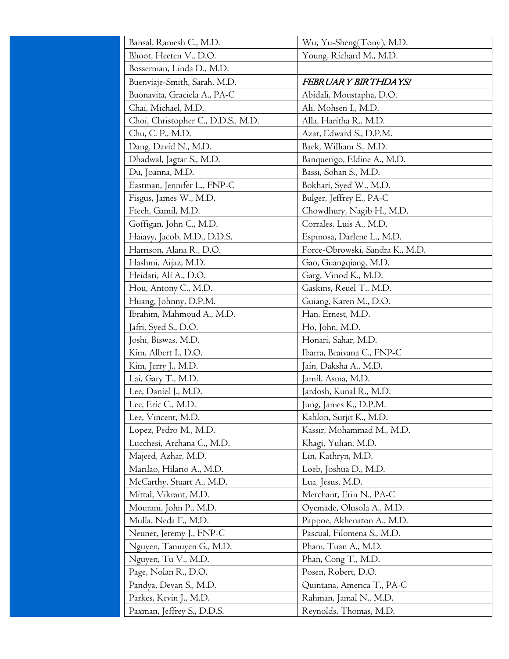| Bansal, Ramesh C., M.D.            | Wu, Yu-Sheng(Tony), M.D.        |
|------------------------------------|---------------------------------|
| Bhoot, Heeten V., D.O.             | Young, Richard M., M.D.         |
| Bosserman, Linda D., M.D.          |                                 |
| Buenviaje-Smith, Sarah, M.D.       | FEBRUARY BIRTHDAYS!             |
| Buonavita, Graciela A., PA-C       | Abidali, Moustapha, D.O.        |
| Chai, Michael, M.D.                | Ali, Mohsen I., M.D.            |
| Choi, Christopher C., D.D.S., M.D. | Alla, Haritha R., M.D.          |
| Chu, C. P., M.D.                   | Azar, Edward S., D.P.M.         |
| Dang, David N., M.D.               | Baek, William S., M.D.          |
| Dhadwal, Jagtar S., M.D.           | Banquerigo, Eldine A., M.D.     |
| Du, Joanna, M.D.                   | Bassi, Sohan S., M.D.           |
| Eastman, Jennifer L., FNP-C        | Bokhari, Syed W., M.D.          |
| Fisgus, James W., M.D.             | Bulger, Jeffrey E., PA-C        |
| Fteeh, Gamil, M.D.                 | Chowdhury, Nagib H., M.D.       |
| Goffigan, John C., M.D.            | Corrales, Luis A., M.D.         |
| Haiavy, Jacob, M.D., D.D.S.        | Espinosa, Darlene L., M.D.      |
| Harrison, Alana R., D.O.           | Force-Obrowski, Sandra K., M.D. |
| Hashmi, Aijaz, M.D.                | Gao, Guangqiang, M.D.           |
| Heidari, Ali A., D.O.              | Garg, Vinod K., M.D.            |
| Hou, Antony C., M.D.               | Gaskins, Reuel T., M.D.         |
| Huang, Johnny, D.P.M.              | Guiang, Karen M., D.O.          |
| Ibrahim, Mahmoud A., M.D.          | Han, Ernest, M.D.               |
| Jafri, Syed S., D.O.               | Ho, John, M.D.                  |
| Joshi, Biswas, M.D.                | Honari, Sahar, M.D.             |
| Kim, Albert I., D.O.               | Ibarra, Beaivana C., FNP-C      |
| Kim, Jerry J., M.D.                | Jain, Daksha A., M.D.           |
| Lai, Gary T., M.D.                 | Jamil, Asma, M.D.               |
| Lee, Daniel J., M.D.               | Jardosh, Kunal R., M.D.         |
| Lee, Eric C., M.D.                 | Jung, James K., D.P.M.          |
| Lee, Vincent, M.D.                 | Kahlon, Surjit K., M.D.         |
| Lopez, Pedro M., M.D.              | Kassir, Mohammad M., M.D.       |
| Lucchesi, Archana C., M.D.         | Khagi, Yulian, M.D.             |
| Majeed, Azhar, M.D.                | Lin, Kathryn, M.D.              |
| Marilao, Hilario A., M.D.          | Loeb, Joshua D., M.D.           |
| McCarthy, Stuart A., M.D.          | Lua, Jesus, M.D.                |
| Mittal, Vikrant, M.D.              | Merchant, Erin N., PA-C         |
| Mourani, John P., M.D.             | Oyemade, Olusola A., M.D.       |
| Mulla, Neda F., M.D.               | Pappoe, Akhenaton A., M.D.      |
| Neuner, Jeremy J., FNP-C           | Pascual, Filomena S., M.D.      |
| Nguyen, Tamuyen G., M.D.           | Pham, Tuan A., M.D.             |
| Nguyen, Tu V., M.D.                | Phan, Cong T., M.D.             |
| Page, Nolan R., D.O.               | Posen, Robert, D.O.             |
| Pandya, Devan S., M.D.             | Quintana, America T., PA-C      |
| Parkes, Kevin J., M.D.             | Rahman, Jamal N., M.D.          |
| Paxman, Jeffrey S., D.D.S.         | Reynolds, Thomas, M.D.          |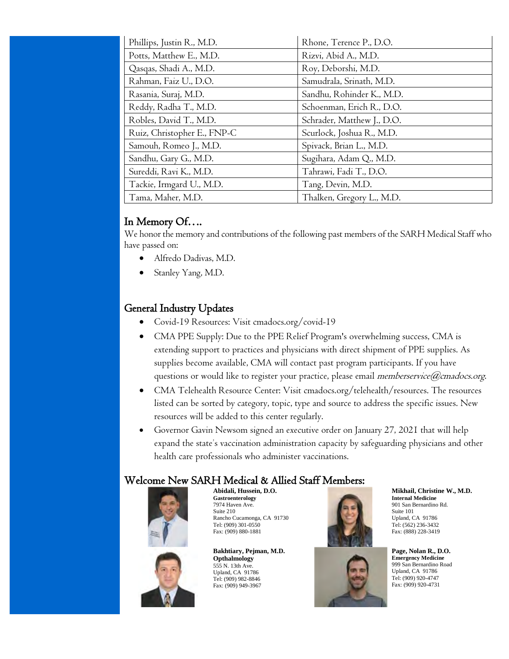| Phillips, Justin R., M.D.   | Rhone, Terence P., D.O.    |
|-----------------------------|----------------------------|
| Potts, Matthew E., M.D.     | Rizvi, Abid A., M.D.       |
| Qasqas, Shadi A., M.D.      | Roy, Deborshi, M.D.        |
| Rahman, Faiz U., D.O.       | Samudrala, Srinath, M.D.   |
| Rasania, Suraj, M.D.        | Sandhu, Rohinder K., M.D.  |
| Reddy, Radha T., M.D.       | Schoenman, Erich R., D.O.  |
| Robles, David T., M.D.      | Schrader, Matthew J., D.O. |
| Ruiz, Christopher E., FNP-C | Scurlock, Joshua R., M.D.  |
| Samouh, Romeo J., M.D.      | Spivack, Brian L., M.D.    |
| Sandhu, Gary G., M.D.       | Sugihara, Adam Q., M.D.    |
| Sureddi, Ravi K., M.D.      | Tahrawi, Fadi T., D.O.     |
| Tackie, Irmgard U., M.D.    | Tang, Devin, M.D.          |
| Tama, Maher, M.D.           | Thalken, Gregory L., M.D.  |

# In Memory Of….

We honor the memory and contributions of the following past members of the SARH Medical Staff who have passed on:

- Alfredo Dadivas, M.D.
- Stanley Yang, M.D.

# General Industry Updates

- Covid-19 Resources: Visit cmadocs.org/covid-19
- CMA PPE Supply: Due to the PPE Relief Program's overwhelming success, CMA is extending support to practices and physicians with direct shipment of PPE supplies. As supplies become available, CMA will contact past program participants. If you have questions or would like to register your practice, please email memberservice  $@cmados.org$ .
- CMA Telehealth Resource Center: Visit cmadocs.org/telehealth/resources. The resources listed can be sorted by category, topic, type and source to address the specific issues. New resources will be added to this center regularly.
- Governor Gavin Newsom signed an executive order on January 27, 2021 that will help expand the state's vaccination administration capacity by safeguarding physicians and other health care professionals who administer vaccinations.

## Welcome New SARH Medical & Allied Staff Members:



**Abidali, Hussein, D.O. Gastroenterology**  7974 Haven Ave. Suite 210 Rancho Cucamonga, CA 91730 Tel: (909) 301-0550 Fax: (909) 880-1881

**Bakhtiary, Pejman, M.D. Opthalmology** 555 N. 13th Ave. Upland, CA 91786 Tel: (909) 982-8846 Fax: (909) 949-3967





**Page, Nolan R., D.O. Emergency Medicine** 999 San Bernardino Road Upland, CA 91786 Tel: (909) 920-4747 Fax: (909) 920-4731